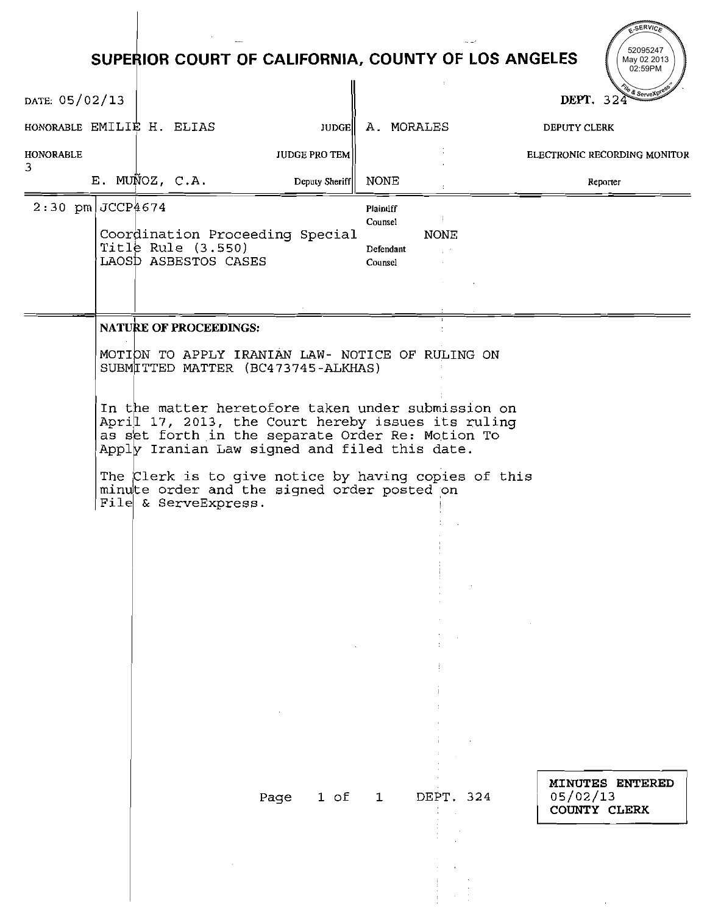# **SUPERIOR COURT OF CALIFORNIA, COUNTY OF LOS ANGELES**

- -,

52095247

 $\sim$ 

 $\mathcal{N}$ 

SERVIC

|                       |                                              | SUPERIOR COURT OF CALIFORNIA, COUNTY OF LOS ANGELES                                                                                                                                                           |                      |                                                     |                   | May 02 2013<br>02:59PM                      |
|-----------------------|----------------------------------------------|---------------------------------------------------------------------------------------------------------------------------------------------------------------------------------------------------------------|----------------------|-----------------------------------------------------|-------------------|---------------------------------------------|
| DATE: 05/02/13        |                                              |                                                                                                                                                                                                               |                      |                                                     |                   | & ServeXpr<br>DEPT. 324                     |
|                       | HONORABLE EMILIE H. ELIAS                    |                                                                                                                                                                                                               | <b>JUDGE</b>         | A. MORALES                                          |                   | <b>DEPUTY CLERK</b>                         |
| <b>HONORABLE</b><br>3 |                                              |                                                                                                                                                                                                               | <b>JUDGE PRO TEM</b> |                                                     |                   | ELECTRONIC RECORDING MONITOR                |
|                       | E. MUÑOZ, C.A.                               |                                                                                                                                                                                                               | Deputy Sheriff       | NONE                                                |                   | <b><i><u>Reporter</u></i></b>               |
| $2:30$ pm JCCP4674    | Title Rule $(3.550)$<br>LAOSD ASBESTOS CASES | Coordination Proceeding Special                                                                                                                                                                               |                      | <b>Plaintiff</b><br>Counsel<br>Defendant<br>Counsel | Ŧ.<br><b>NONE</b> |                                             |
|                       | <b>NATURE OF PROCEEDINGS:</b>                |                                                                                                                                                                                                               |                      |                                                     |                   |                                             |
|                       |                                              | MOTION TO APPLY IRANIAN LAW- NOTICE OF RULING ON<br>SUBMITTED MATTER (BC473745-ALKHAS)                                                                                                                        |                      |                                                     |                   |                                             |
|                       |                                              | In the matter heretofore taken under submission on<br>April 17, 2013, the Court hereby issues its ruling<br>as set forth in the separate Order Re: Motion To<br>Apply Iranian Law signed and filed this date. |                      |                                                     |                   |                                             |
|                       | File & ServeExpress.                         | The Clerk is to give notice by having copies of this<br>minute order and the signed order posted on                                                                                                           |                      |                                                     |                   |                                             |
|                       |                                              |                                                                                                                                                                                                               |                      |                                                     |                   |                                             |
|                       |                                              |                                                                                                                                                                                                               |                      |                                                     |                   |                                             |
|                       |                                              |                                                                                                                                                                                                               |                      |                                                     |                   |                                             |
|                       |                                              |                                                                                                                                                                                                               |                      |                                                     |                   |                                             |
|                       |                                              | Page                                                                                                                                                                                                          | 1 of                 | $\mathbf 1$                                         | DEPT. 324         | MINUTES ENTERED<br>05/02/13<br>COUNTY CLERK |
|                       |                                              |                                                                                                                                                                                                               |                      |                                                     |                   |                                             |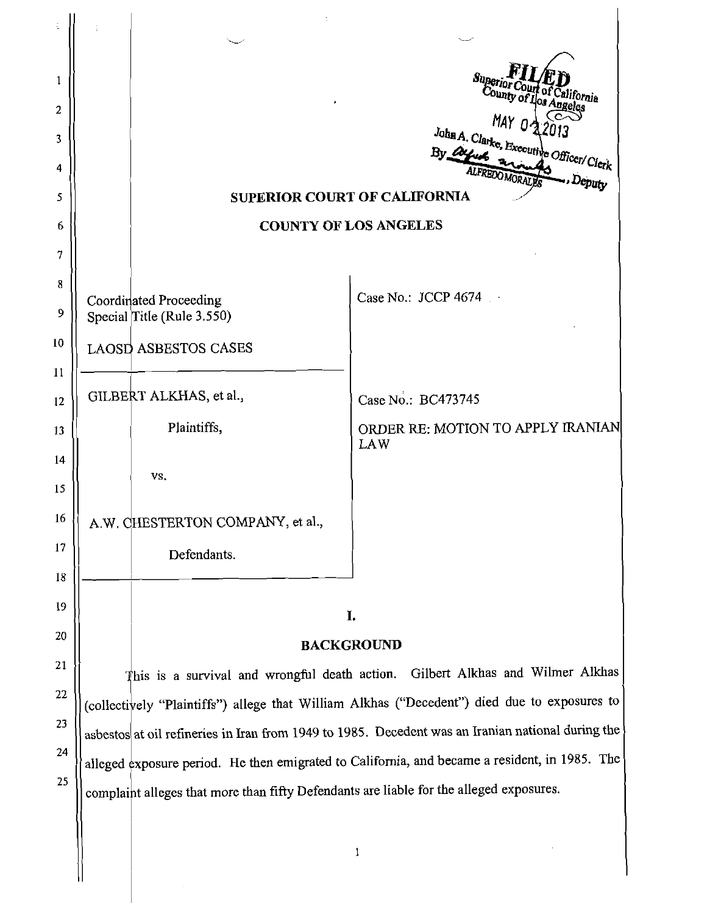|                                                      | $MAYO -$                                                                                                                                                                                 |  |  |  |  |  |  |  |  |
|------------------------------------------------------|------------------------------------------------------------------------------------------------------------------------------------------------------------------------------------------|--|--|--|--|--|--|--|--|
|                                                      | John A. Clarke, Executive Officer/Clerk                                                                                                                                                  |  |  |  |  |  |  |  |  |
|                                                      | . Deputy                                                                                                                                                                                 |  |  |  |  |  |  |  |  |
|                                                      | <b>SUPERIOR COURT OF CALIFORNIA</b>                                                                                                                                                      |  |  |  |  |  |  |  |  |
|                                                      | <b>COUNTY OF LOS ANGELES</b>                                                                                                                                                             |  |  |  |  |  |  |  |  |
|                                                      |                                                                                                                                                                                          |  |  |  |  |  |  |  |  |
| Coordinated Proceeding<br>Special Title (Rule 3.550) | Case No.: JCCP 4674                                                                                                                                                                      |  |  |  |  |  |  |  |  |
| <b>LAOSD ASBESTOS CASES</b>                          |                                                                                                                                                                                          |  |  |  |  |  |  |  |  |
|                                                      |                                                                                                                                                                                          |  |  |  |  |  |  |  |  |
| GILBERT ALKHAS, et al.,                              | Case No.: BC473745                                                                                                                                                                       |  |  |  |  |  |  |  |  |
| Plaintiffs,                                          | ORDER RE: MOTION TO APPLY IRANIAN<br><b>LAW</b>                                                                                                                                          |  |  |  |  |  |  |  |  |
| VS.                                                  |                                                                                                                                                                                          |  |  |  |  |  |  |  |  |
| A.W. CHESTERTON COMPANY, et al.,                     |                                                                                                                                                                                          |  |  |  |  |  |  |  |  |
| Defendants.                                          |                                                                                                                                                                                          |  |  |  |  |  |  |  |  |
|                                                      |                                                                                                                                                                                          |  |  |  |  |  |  |  |  |
|                                                      | I.                                                                                                                                                                                       |  |  |  |  |  |  |  |  |
|                                                      | <b>BACKGROUND</b>                                                                                                                                                                        |  |  |  |  |  |  |  |  |
|                                                      | This is a survival and wrongful death action. Gilbert Alkhas and Wilmer Alkhas                                                                                                           |  |  |  |  |  |  |  |  |
|                                                      | (collectively "Plaintiffs") allege that William Alkhas ("Decedent") died due to exposures to                                                                                             |  |  |  |  |  |  |  |  |
|                                                      | asbestos at oil refineries in Iran from 1949 to 1985. Decedent was an Iranian national during the                                                                                        |  |  |  |  |  |  |  |  |
|                                                      | alleged exposure period. He then emigrated to California, and became a resident, in 1985. The<br>complaint alleges that more than fifty Defendants are liable for the alleged exposures. |  |  |  |  |  |  |  |  |
|                                                      |                                                                                                                                                                                          |  |  |  |  |  |  |  |  |
|                                                      |                                                                                                                                                                                          |  |  |  |  |  |  |  |  |
|                                                      | 1                                                                                                                                                                                        |  |  |  |  |  |  |  |  |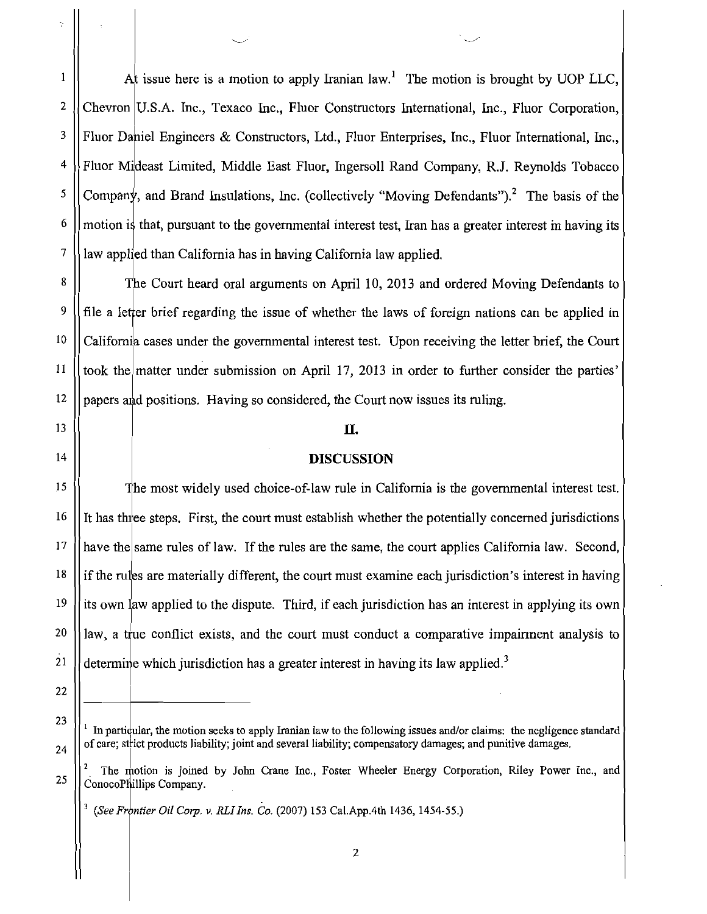At issue here is a motion to apply Iranian law.<sup>1</sup> The motion is brought by UOP LLC.  $\mathbf{1}$  $\overline{2}$ Chevron U.S.A. Inc., Texaco Inc., Fluor Constructors International, Inc., Fluor Corporation, 3 Fluor Daniel Engineers & Constructors, Ltd., Fluor Enterprises, Inc., Fluor International, Inc.,  $\overline{4}$ Fluor Mideast Limited, Middle East Fluor, Ingersoll Rand Company, R.J. Reynolds Tobacco 5 Company, and Brand Insulations, Inc. (collectively "Moving Defendants").<sup>2</sup> The basis of the 6 motion is that, pursuant to the governmental interest test. Iran has a greater interest in having its  $\overline{7}$ law applied than California has in having California law applied.

8 The Court heard oral arguments on April 10, 2013 and ordered Moving Defendants to 9 file a letter brief regarding the issue of whether the laws of foreign nations can be applied in  $10$ California cases under the governmental interest test. Upon receiving the letter brief, the Court 11 took the matter under submission on April 17, 2013 in order to further consider the parties' 12 papers and positions. Having so considered, the Court now issues its ruling.

#### П.

#### **DISCUSSION**

The most widely used choice-of-law rule in California is the governmental interest test. It has three steps. First, the court must establish whether the potentially concerned jurisdictions have the same rules of law. If the rules are the same, the court applies California law. Second, if the rules are materially different, the court must examine each jurisdiction's interest in having its own law applied to the dispute. Third, if each jurisdiction has an interest in applying its own law, a true conflict exists, and the court must conduct a comparative impairment analysis to determine which jurisdiction has a greater interest in having its law applied.<sup>3</sup>

22

23

24

13

14

15

16

17

18

19

20

21

In particular, the motion seeks to apply Iranian law to the following issues and/or claims: the negligence standard of care; strict products liability; joint and several liability; compensatory damages; and punitive damages.

The motion is joined by John Crane Inc., Foster Wheeler Energy Corporation, Riley Power Inc., and 25 ConocoPhillips Company.

<sup>&</sup>lt;sup>3</sup> (See Frontier Oil Corp. v. RLI Ins. Co. (2007) 153 Cal.App.4th 1436, 1454-55.)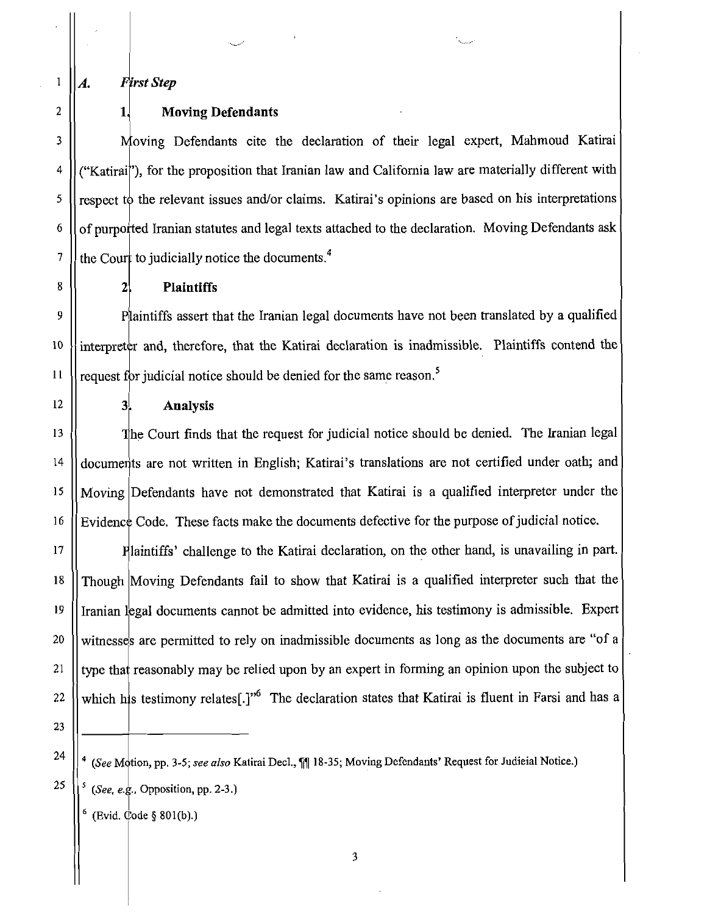A.

 $1\,$ 

 $\overline{c}$ 

 $\overline{\mathbf{3}}$ 

4

5

6

 $\overline{7}$ 

**First Step** 

 $1,$ 

 $2<sub>1</sub>$ 

 $3<sub>1</sub>$ 

## **Moving Defendants**

Moving Defendants cite the declaration of their legal expert, Mahmoud Katirai ("Katirai"), for the proposition that Iranian law and California law are materially different with respect to the relevant issues and/or claims. Katirai's opinions are based on his interpretations of purported Iranian statutes and legal texts attached to the declaration. Moving Defendants ask the Court to judicially notice the documents.<sup>4</sup>

8

#### **Plaintiffs**

9 Plaintiffs assert that the Iranian legal documents have not been translated by a qualified interpreter and, therefore, that the Katirai declaration is inadmissible. Plaintiffs contend the 10 request for judicial notice should be denied for the same reason.<sup>5</sup>  $11$ 

12

### **Analysis**

The Court finds that the request for judicial notice should be denied. The Iranian legal 13 documents are not written in English; Katirai's translations are not certified under oath; and 14  $15$ Moving Defendants have not demonstrated that Katirai is a qualified interpreter under the Evidence Code. These facts make the documents defective for the purpose of judicial notice. 16

Plaintiffs' challenge to the Katirai declaration, on the other hand, is unavailing in part. 17 18 Though Moving Defendants fail to show that Katirai is a qualified interpreter such that the 19 Iranian legal documents cannot be admitted into evidence, his testimony is admissible. Expert witnesses are permitted to rely on inadmissible documents as long as the documents are "of a 20 type that reasonably may be relied upon by an expert in forming an opinion upon the subject to 21 which his testimony relates[.]"<sup>6</sup> The declaration states that Katirai is fluent in Farsi and has a 22

23 24

25

(Evid. Code § 801(b).)

<sup>&</sup>lt;sup>4</sup> (See Motion, pp. 3-5; see also Katirai Decl., 11 18-35; Moving Defendants' Request for Judieial Notice.) (See, e.g., Opposition, pp. 2-3.)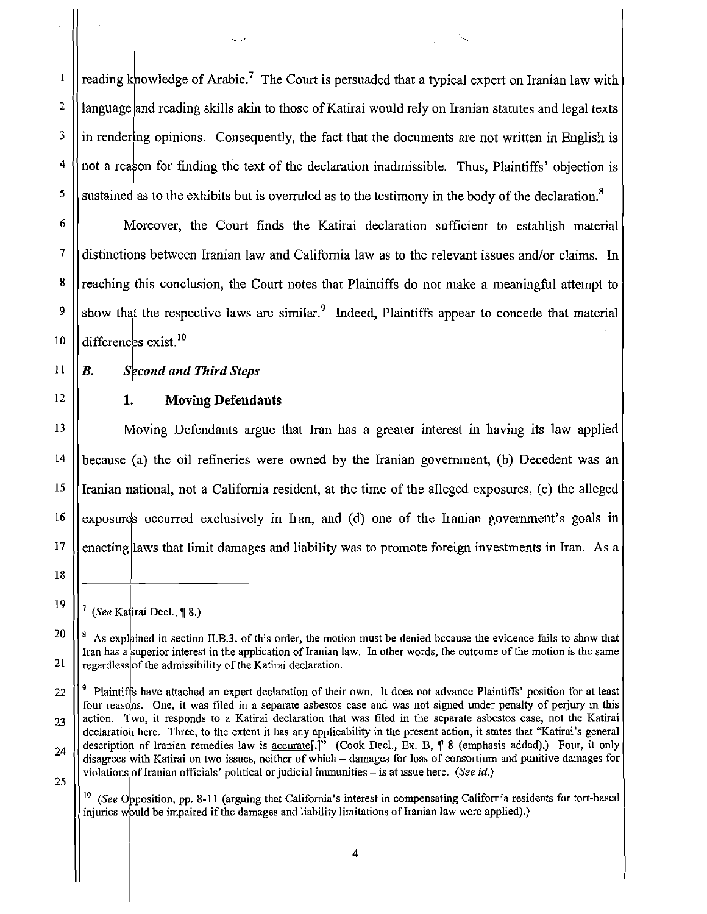reading knowledge of Arabic.<sup>7</sup> The Court is persuaded that a typical expert on Iranian law with  $\mathbf{I}$  $\mathbf{2}$ language and reading skills akin to those of Katirai would rely on Iranian statutes and legal texts 3 in rendering opinions. Consequently, the fact that the documents are not written in English is 4 not a reason for finding the text of the declaration inadmissible. Thus, Plaintiffs' objection is 5 sustained as to the exhibits but is overruled as to the testimony in the body of the declaration.<sup>8</sup>

Moreover, the Court finds the Katiral declaration sufficient to establish material distinctions between Iranian law and California law as to the relevant issues and/or claims. In reaching this conclusion, the Court notes that Plaintiffs do not make a meaningful attempt to show that the respective laws are similar.<sup>9</sup> Indeed, Plaintiffs appear to concede that material differences exist.<sup>10</sup>

11

12

13

 $14$ 

15

16

 $17$ 

18

19

21

6

 $\overline{7}$ 

8

9

10

#### $\boldsymbol{R}$ . **Second and Third Steps**

 $1.$ **Moving Defendants** 

Moving Defendants argue that Iran has a greater interest in having its law applied because (a) the oil refineries were owned by the Iranian government, (b) Decedent was an Iranian national, not a California resident, at the time of the alleged exposures, (c) the alleged exposures occurred exclusively in Iran, and (d) one of the Iranian government's goals in enacting laws that limit damages and liability was to promote foreign investments in Iran. As a

<sup>(</sup>See Katirai Decl., ¶ 8.)

<sup>20</sup>  $\frac{8}{3}$  As explained in section II.B.3. of this order, the motion must be denied because the evidence fails to show that Iran has a superior interest in the application of Iranian law. In other words, the outcome of the motion is the same regardless of the admissibility of the Katirai declaration.

<sup>&</sup>lt;sup>9</sup> Plaintiffs have attached an expert declaration of their own. It does not advance Plaintiffs' position for at least 22 four reasons. One, it was filed in a separate asbestos case and was not signed under penalty of perjury in this action. Two, it responds to a Katirai declaration that was filed in the separate asbestos case, not the Katirai 23 declaration here. Three, to the extent it has any applicability in the present action, it states that "Katirai's general description of Iranian remedies law is accurate[.]" (Cook Decl., Ex. B, ¶ 8 (emphasis added).) Four, it only 24 disagrees with Katirai on two issues, neither of which - damages for loss of consortium and punitive damages for violations of Iranian officials' political or judicial immunities – is at issue here. (See id.) 25

 $10$  (See Opposition, pp. 8-11 (arguing that California's interest in compensating California residents for tort-based injuries would be impaired if the damages and liability limitations of Iranian law were applied).)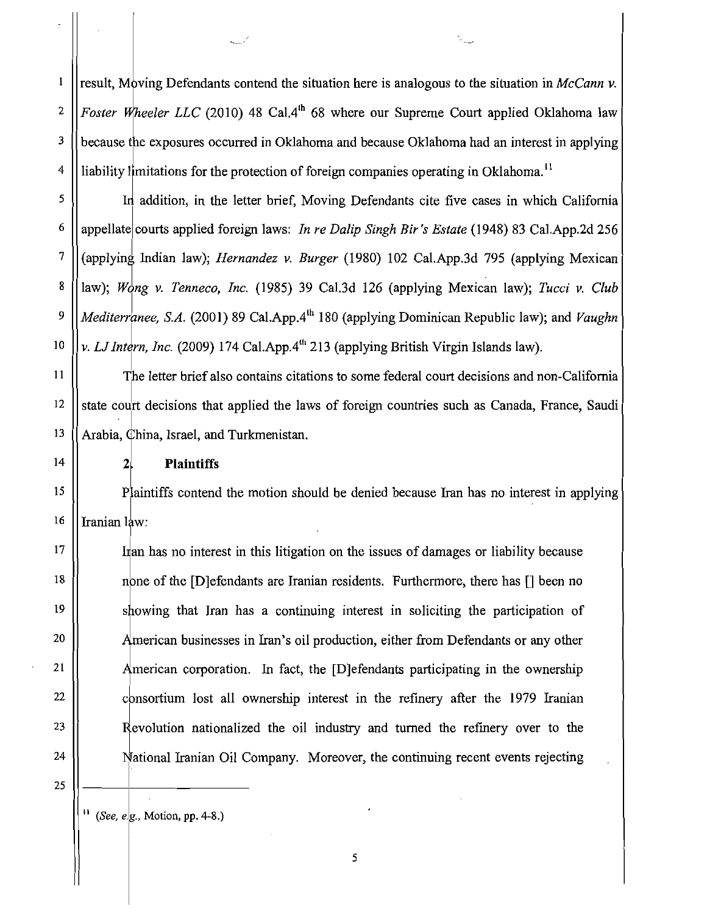$\mathbf{1}$ result, Moving Defendants contend the situation here is analogous to the situation in McCann v. Foster Wheeler LLC (2010) 48 Cal.4<sup>th</sup> 68 where our Supreme Court applied Oklahoma law  $\overline{2}$  $\mathbf{3}$ because the exposures occurred in Oklahoma and because Oklahoma had an interest in applying liability limitations for the protection of foreign companies operating in Oklahoma.<sup>11</sup>  $\overline{4}$ 

In addition, in the letter brief, Moving Defendants cite five cases in which California appellate courts applied foreign laws: In re Dalip Singh Bir's Estate (1948) 83 Cal.App.2d 256 (applying Indian law); *Hernandez v. Burger* (1980) 102 Cal.App.3d 795 (applying Mexican law); Wong v. Tenneco, Inc. (1985) 39 Cal.3d 126 (applying Mexican law); Tucci v. Club Mediterranee, S.A. (2001) 89 Cal.App.4<sup>th</sup> 180 (applying Dominican Republic law); and Vaughn v. LJ Intern, Inc. (2009) 174 Cal.App. $4^{th}$  213 (applying British Virgin Islands law).

The letter brief also contains citations to some federal court decisions and non-California state court decisions that applied the laws of foreign countries such as Canada, France, Saudi Arabia, China, Israel, and Turkmenistan.

#### **Plaintiffs**

 $2<sub>1</sub>$ 

Plaintiffs contend the motion should be denied because Iran has no interest in applying Iranian law:

Irlan has no interest in this litigation on the issues of damages or liability because none of the [D] efendants are Iranian residents. Furthermore, there has [] been no showing that Iran has a continuing interest in soliciting the participation of American businesses in Iran's oil production, either from Defendants or any other American corporation. In fact, the [D] efendants participating in the ownership consortium lost all ownership interest in the refinery after the 1979 Iranian Revolution nationalized the oil industry and turned the refinery over to the National Iranian Oil Company. Moreover, the continuing recent events rejecting

25

5

6

 $\overline{7}$ 

8

9

10

11

12

13

 $14$ 

15

16

17

18

19

20

21

22

23

24

 $^{11}$  (*See, e.g., Motion, pp. 4-8.*)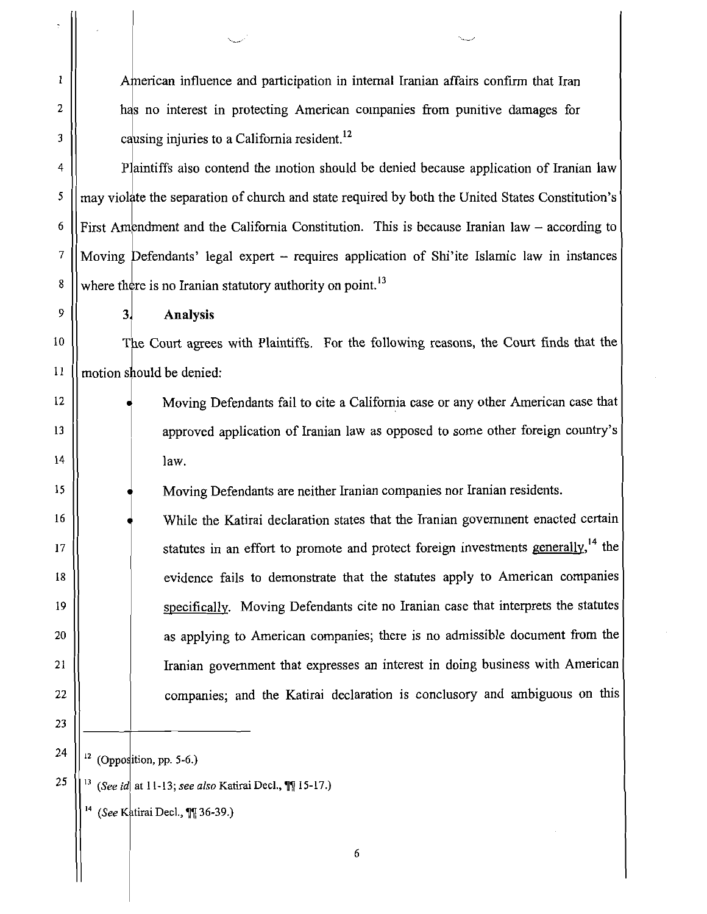American influence and participation in internal Iranian affairs confirm that Iran has no interest in protecting American companies from punitive damages for causing injuries to a California resident.<sup>12</sup>

Plaintiffs also contend the inotion should be denied because application of Iranian law may violate the separation of church and state required by both the United States Constitution's First Amendment and the California Constitution. This is because Iranian law  $-$  according to Moving Defendants' legal expert - requires application of Shi'ite Islamic law in instances where there is no Iranian statutory authority on point.<sup>13</sup>

**Analysis** 

3.

The Court agrees with Plaintiffs. For the following reasons, the Court finds that the motion should be denied:

> Moving Defendants fail to cite a California case or any other American case that approved application of Iranian law as opposed to some other foreign country's law.

Moving Defendants are neither Iranian companies nor Iranian residents.

While the Katirai declaration states that the Iranian government enacted certain statutes in an effort to promote and protect foreign investments generally,  $^{14}$  the evidence fails to demonstrate that the statutes apply to American companies specifically. Moving Defendants cite no Iranian case that interprets the statutes as applying to American companies; there is no admissible document from the Iranian government that expresses an interest in doing business with American companies; and the Katirai declaration is conclusory and ambiguous on this

25

 $12$  (Opposition, pp. 5-6.)

(See id at 11-13; see also Katirai Decl., \[\[ 15-17.)

(See Katirai Decl., ¶¶ 36-39.)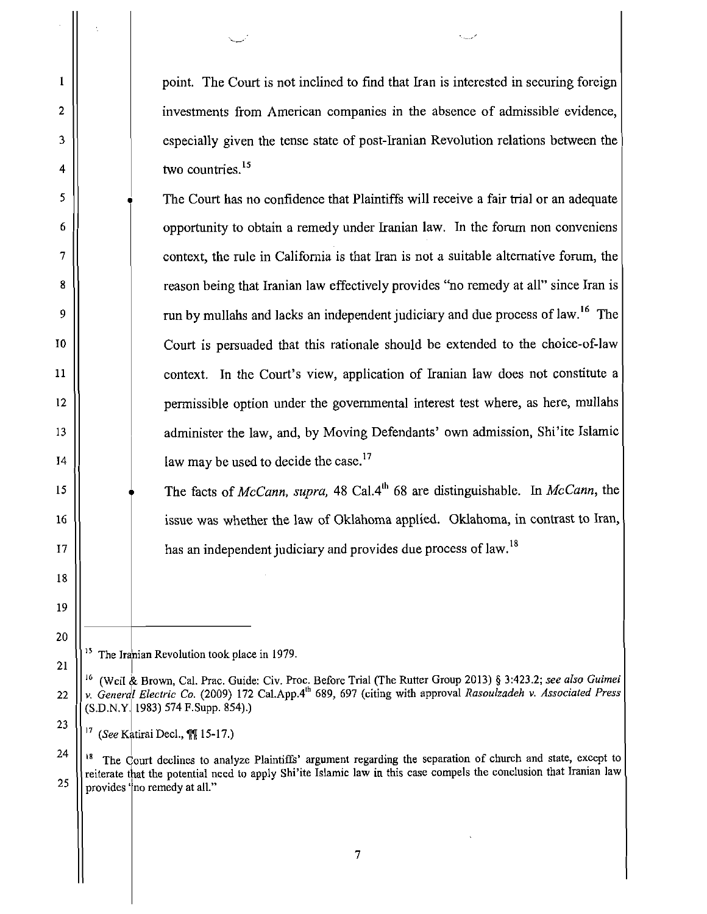point. The Court is not inclined to find that Iran is interested in securing foreign investments from American companies in the absence of admissible evidence, especially given the tense state of post-Iranian Revolution relations between the two countries. $15$ 

The Court has no confidence that Plaintiffs will receive a fair trial or an adequate opportunity to obtain a remedy under Iranian law. In the forum non conveniens context, the rule in California is that Iran is not a suitable alternative forum, the reason being that Iranian law effectively provides "no remedy at all" since Iran is run by mullahs and lacks an independent judiciary and due process of law.<sup>16</sup> The Court is persuaded that this rationale should be extended to the choice-of-law context. In the Court's view, application of Iranian law does not constitute a permissible option under the governmental interest test where, as here, mullahs administer the law, and, by Moving Defendants' own admission, Shi'ite Islamic law may be used to decide the case. $^{17}$ 

The facts of McCann, supra, 48 Cal.4<sup>th</sup> 68 are distinguishable. In McCann, the issue was whether the law of Oklahoma applied. Oklahoma, in contrast to Iran, has an independent judiciary and provides due process of law.<sup>18</sup>

<sup>15</sup> The Iranian Revolution took place in 1979.

 $\mathbf{1}$ 

 $\overline{2}$ 

3

4

5

6

 $\overline{7}$ 

8

9

 $10$ 

11

 $12$ 

13

14

 $15$ 

16

 $17$ 

18

19

20

21

22

23

<sup>(</sup>Weil & Brown, Cal. Prac. Guide: Civ. Proc. Before Trial (The Rutter Group 2013) § 3:423.2; see also Guimei v. General Electric Co. (2009) 172 Cal.App.4<sup>th</sup> 689, 697 (citing with approval Rasoulzadeh v. Associated Press  $(S.D.N.Y. 1983)$  574 F.Supp. 854).)

<sup>(</sup>See Katirai Decl., III 15-17.)

<sup>24</sup> The Court declines to analyze Plaintiffs' argument regarding the separation of church and state, except to reiterate that the potential need to apply Shi'ite Islamic law in this case compels the conclusion that Iranian law 25 provides 'no remedy at all."